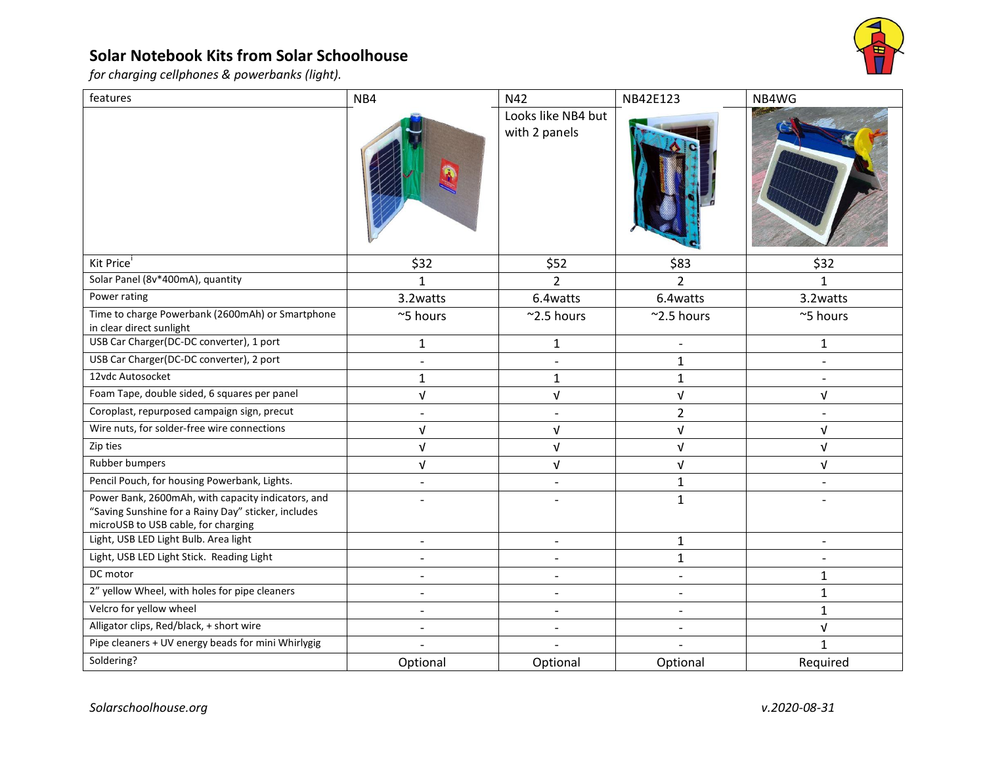## **Solar Notebook Kits from Solar Schoolhouse**



*for charging cellphones & powerbanks (light).*

| features                                                                                                                                         | NB4                      | N42                                 | NB42E123                 | NB4WG        |
|--------------------------------------------------------------------------------------------------------------------------------------------------|--------------------------|-------------------------------------|--------------------------|--------------|
|                                                                                                                                                  |                          | Looks like NB4 but<br>with 2 panels |                          |              |
| Kit Price                                                                                                                                        | \$32                     | \$52                                | \$83                     | \$32         |
| Solar Panel (8v*400mA), quantity                                                                                                                 | 1                        | $\overline{2}$                      | 2                        |              |
| Power rating                                                                                                                                     | 3.2 watts                | 6.4 watts                           | 6.4watts                 | 3.2watts     |
| Time to charge Powerbank (2600mAh) or Smartphone<br>in clear direct sunlight                                                                     | ~5 hours                 | $~2.5$ hours                        | $~2.5$ hours             | ~5 hours     |
| USB Car Charger(DC-DC converter), 1 port                                                                                                         | $\mathbf{1}$             | $\mathbf{1}$                        | $\overline{a}$           | $\mathbf{1}$ |
| USB Car Charger(DC-DC converter), 2 port                                                                                                         | $\blacksquare$           | $\overline{a}$                      | $\mathbf{1}$             |              |
| 12vdc Autosocket                                                                                                                                 | $\mathbf{1}$             | $\mathbf{1}$                        | $\mathbf{1}$             |              |
| Foam Tape, double sided, 6 squares per panel                                                                                                     | $\sqrt{ }$               | $\sqrt{ }$                          | $\sqrt{ }$               | $\sqrt{ }$   |
| Coroplast, repurposed campaign sign, precut                                                                                                      |                          |                                     | $\overline{2}$           |              |
| Wire nuts, for solder-free wire connections                                                                                                      | ν                        | V                                   | $\sqrt{ }$               | V            |
| Zip ties                                                                                                                                         | $\sqrt{ }$               | $\sqrt{ }$                          | $\sqrt{ }$               | $\sqrt{ }$   |
| Rubber bumpers                                                                                                                                   | $\sqrt{ }$               | $\sqrt{ }$                          | V                        | $\sqrt{ }$   |
| Pencil Pouch, for housing Powerbank, Lights.                                                                                                     |                          |                                     | $\mathbf{1}$             |              |
| Power Bank, 2600mAh, with capacity indicators, and<br>"Saving Sunshine for a Rainy Day" sticker, includes<br>microUSB to USB cable, for charging | $\overline{\phantom{a}}$ | $\blacksquare$                      | $\mathbf{1}$             |              |
| Light, USB LED Light Bulb. Area light                                                                                                            | $\overline{a}$           |                                     | $\mathbf{1}$             |              |
| Light, USB LED Light Stick. Reading Light                                                                                                        | $\overline{\phantom{a}}$ | $\overline{\phantom{a}}$            | $\mathbf{1}$             |              |
| DC motor                                                                                                                                         | $\overline{a}$           | $\overline{a}$                      | $\overline{a}$           | $\mathbf{1}$ |
| 2" yellow Wheel, with holes for pipe cleaners                                                                                                    | $\overline{\phantom{a}}$ | $\overline{\phantom{a}}$            | $\overline{\phantom{a}}$ | $\mathbf{1}$ |
| Velcro for yellow wheel                                                                                                                          | $\overline{\phantom{a}}$ | $\overline{a}$                      |                          | $\mathbf{1}$ |
| Alligator clips, Red/black, + short wire                                                                                                         | $\blacksquare$           | $\overline{a}$                      | $\overline{\phantom{a}}$ | $\sqrt{ }$   |
| Pipe cleaners + UV energy beads for mini Whirlygig                                                                                               |                          |                                     |                          | $\mathbf{1}$ |
| Soldering?                                                                                                                                       | Optional                 | Optional                            | Optional                 | Required     |
|                                                                                                                                                  |                          |                                     |                          |              |